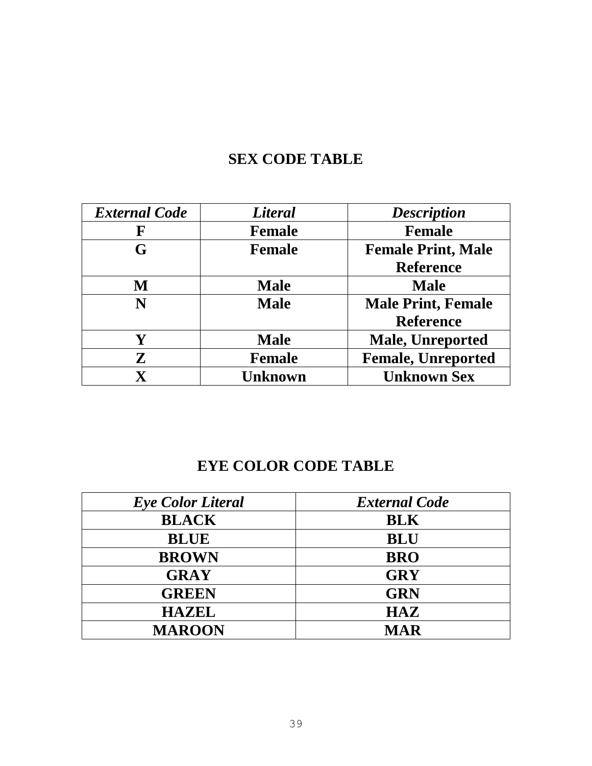## **SEX CODE TABLE**

| <b>External Code</b> | <b>Literal</b> | <b>Description</b>        |
|----------------------|----------------|---------------------------|
| ${\bf F}$            | <b>Female</b>  | <b>Female</b>             |
| G                    | <b>Female</b>  | <b>Female Print, Male</b> |
|                      |                | <b>Reference</b>          |
| M                    | <b>Male</b>    | <b>Male</b>               |
| N                    | <b>Male</b>    | <b>Male Print, Female</b> |
|                      |                | <b>Reference</b>          |
| Y                    | <b>Male</b>    | <b>Male, Unreported</b>   |
| ${\bf Z}$            | <b>Female</b>  | <b>Female, Unreported</b> |
| $\mathbf X$          | Unknown        | <b>Unknown Sex</b>        |

## **EYE COLOR CODE TABLE**

| <b>Eye Color Literal</b> | <b>External Code</b> |
|--------------------------|----------------------|
| <b>BLACK</b>             | <b>BLK</b>           |
| <b>BLUE</b>              | <b>BLU</b>           |
| <b>BROWN</b>             | <b>BRO</b>           |
| <b>GRAY</b>              | <b>GRY</b>           |
| <b>GREEN</b>             | <b>GRN</b>           |
| <b>HAZEL</b>             | <b>HAZ</b>           |
| <b>MAROON</b>            | <b>MAR</b>           |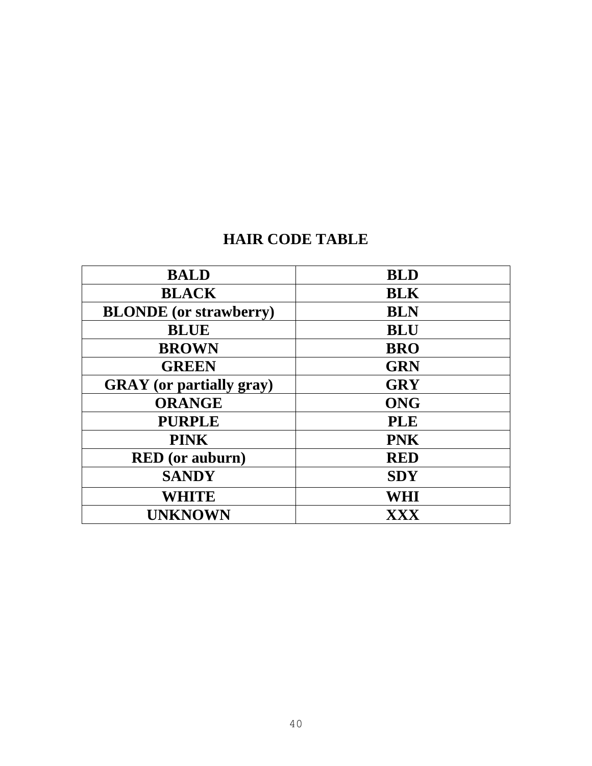## **HAIR CODE TABLE**

| <b>BALD</b>                     | <b>BLD</b> |
|---------------------------------|------------|
| <b>BLACK</b>                    | <b>BLK</b> |
| <b>BLONDE</b> (or strawberry)   | <b>BLN</b> |
| <b>BLUE</b>                     | <b>BLU</b> |
| <b>BROWN</b>                    | <b>BRO</b> |
| <b>GREEN</b>                    | <b>GRN</b> |
| <b>GRAY</b> (or partially gray) | <b>GRY</b> |
| <b>ORANGE</b>                   | <b>ONG</b> |
| <b>PURPLE</b>                   | <b>PLE</b> |
| <b>PINK</b>                     | <b>PNK</b> |
| <b>RED</b> (or auburn)          | <b>RED</b> |
| <b>SANDY</b>                    | <b>SDY</b> |
| <b>WHITE</b>                    | WHI        |
| <b>UNKNOWN</b>                  | XXX        |